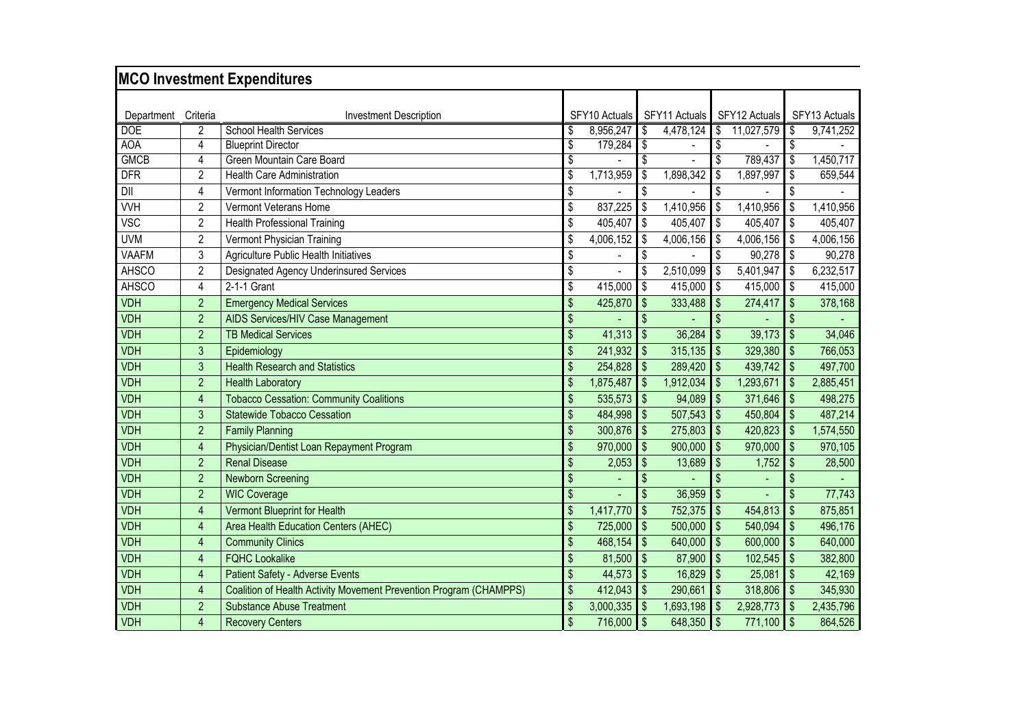|                          |                | <b>MCO Investment Expenditures</b>                                 |                           |               |                               |               |                               |               |                               |               |
|--------------------------|----------------|--------------------------------------------------------------------|---------------------------|---------------|-------------------------------|---------------|-------------------------------|---------------|-------------------------------|---------------|
|                          |                |                                                                    |                           |               |                               |               |                               |               |                               |               |
| Department               | Criteria       | <b>Investment Description</b>                                      |                           | SFY10 Actuals |                               | SFY11 Actuals |                               | SFY12 Actuals |                               | SFY13 Actuals |
| <b>DOE</b><br><b>AOA</b> | 2              | <b>School Health Services</b>                                      | \$                        | 8,956,247     | \$                            | 4,478,124     | \$                            | 11,027,579    | \$                            | 9,741,252     |
| <b>GMCB</b>              | 4<br>4         | <b>Blueprint Director</b><br>Green Mountain Care Board             | \$                        | 179,284       | $\overline{\mathbf{s}}$<br>\$ |               | \$<br>$\overline{\mathbb{S}}$ | 789,437       | $\overline{\mathbf{S}}$<br>\$ | 1,450,717     |
| <b>DFR</b>               | $\overline{2}$ | <b>Health Care Administration</b>                                  | \$                        | 1,713,959     | \$                            | 1,898,342     | \$                            | 1,897,997     | \$                            | 659,544       |
| DII                      | 4              | Vermont Information Technology Leaders                             | \$                        |               | \$                            |               | \$                            |               | \$                            |               |
| <b>VVH</b>               |                | Vermont Veterans Home                                              | \$                        |               |                               |               | \$                            |               |                               |               |
|                          | 2              |                                                                    |                           | 837,225       | \$                            | 1,410,956     |                               | 1,410,956     | \$                            | 1,410,956     |
| <b>VSC</b>               | $\overline{2}$ | <b>Health Professional Training</b>                                | \$                        | 405,407       | \$                            | 405,407       | \$                            | 405,407       | \$                            | 405,407       |
| <b>UVM</b>               | $\overline{2}$ | Vermont Physician Training                                         |                           | 4,006,152     | \$                            | 4,006,156     | \$                            | 4,006,156     | \$                            | 4,006,156     |
| <b>VAAFM</b>             | 3              | <b>Agriculture Public Health Initiatives</b>                       | \$                        |               | \$                            |               | \$                            | 90,278        | $\sqrt[6]{\frac{1}{2}}$       | 90,278        |
| <b>AHSCO</b>             | $\overline{2}$ | Designated Agency Underinsured Services                            | \$                        |               | \$                            | 2,510,099     | \$                            | 5,401,947     | \$                            | 6,232,517     |
| <b>AHSCO</b>             | 4              | 2-1-1 Grant                                                        | \$                        | 415,000       | \$                            | 415,000       | Ŝ.                            | 415,000       | \$                            | 415,000       |
| <b>VDH</b>               | $\overline{2}$ | <b>Emergency Medical Services</b>                                  | $\mathfrak{L}$            | 425,870       | \$                            | 333,488       | \$                            | 274,417       | $\mathbb{S}$                  | 378,168       |
| <b>VDH</b>               | $\overline{2}$ | AIDS Services/HIV Case Management                                  | \$                        |               | $\mathbf{\hat{S}}$            |               | \$                            |               |                               |               |
| <b>VDH</b>               | $\overline{2}$ | <b>TB Medical Services</b>                                         | \$                        | 41,313        | $\sqrt{3}$                    | 36,284        | \$                            | 39,173        | \$                            | 34,046        |
| <b>VDH</b>               | 3              | Epidemiology                                                       | $\mathfrak{L}$            | 241,932       | $\sqrt[6]{\frac{1}{2}}$       | 315,135       | $\mathsf{\$}$                 | 329,380       | \$                            | 766,053       |
| <b>VDH</b>               | 3              | <b>Health Research and Statistics</b>                              |                           | 254,828       | \$                            | 289,420       | \$                            | 439,742       | \$                            | 497,700       |
| <b>VDH</b>               | $\overline{2}$ | <b>Health Laboratory</b>                                           | \$                        | 1,875,487     | \$                            | 1,912,034     | \$                            | 1,293,671     | \$                            | 2,885,451     |
| <b>VDH</b>               | $\overline{4}$ | <b>Tobacco Cessation: Community Coalitions</b>                     |                           | 535,573       | \$                            | 94,089        | $\sqrt{2}$                    | 371,646       | \$                            | 498,275       |
| <b>VDH</b>               | 3              | <b>Statewide Tobacco Cessation</b>                                 |                           | 484,998       | \$                            | 507,543       | $\mathsf{\$}$                 | 450,804       | \$                            | 487,214       |
| <b>VDH</b>               | $\overline{2}$ | <b>Family Planning</b>                                             | \$                        | 300,876       | \$                            | 275,803       | \$                            | 420,823       | \$                            | 1,574,550     |
| <b>VDH</b>               | $\overline{4}$ | Physician/Dentist Loan Repayment Program                           | \$                        | 970,000       | \$                            | 900,000       | \$                            | 970,000       | $\sqrt[6]{\frac{1}{2}}$       | 970,105       |
| <b>VDH</b>               | $\overline{2}$ | <b>Renal Disease</b>                                               | \$                        | 2,053         | \$                            | 13,689        | \$                            | 1,752         | $\sqrt[6]{\frac{1}{2}}$       | 28,500        |
| <b>VDH</b>               | $\overline{2}$ | <b>Newborn Screening</b>                                           | \$                        |               | \$                            |               | \$                            |               | \$                            |               |
| <b>VDH</b>               | $\overline{2}$ | <b>WIC Coverage</b>                                                | \$                        |               | \$                            | 36,959        | \$                            |               | \$                            | 77,743        |
| <b>VDH</b>               | $\overline{4}$ | <b>Vermont Blueprint for Health</b>                                | \$                        | 1,417,770     | \$                            | 752,375       | \$                            | 454,813       | \$                            | 875,851       |
| <b>VDH</b>               | $\overline{4}$ | Area Health Education Centers (AHEC)                               | \$                        | 725,000       | \$                            | 500,000       | \$                            | 540,094       | $\sqrt[6]{\frac{1}{2}}$       | 496,176       |
| <b>VDH</b>               | $\overline{4}$ | <b>Community Clinics</b>                                           |                           | 468,154       | \$                            | 640,000       | $\mathfrak{s}$                | 600,000       | $\mathsf{\$}$                 | 640,000       |
| <b>VDH</b>               | $\overline{4}$ | <b>FQHC Lookalike</b>                                              | $\mathfrak{L}$            | 81,500        | $\boldsymbol{\mathsf{S}}$     | 87,900        | \$                            | 102,545       | $\mathsf{\$}$                 | 382,800       |
| <b>VDH</b>               | 4              | <b>Patient Safety - Adverse Events</b>                             | $\mathsf{\$}$             | 44,573        | $\mathbf{\$}$                 | 16,829        | $\mathfrak{S}$                | 25,081        | $\mathsf{\$}$                 | 42,169        |
| <b>VDH</b>               | $\overline{4}$ | Coalition of Health Activity Movement Prevention Program (CHAMPPS) | $\mathsf{\$}$             | 412,043       | $\mathbf{\$}$                 | 290,661       | $\mathfrak{S}$                | 318,806       | $\mathsf{\$}$                 | 345,930       |
| <b>VDH</b>               | $\overline{2}$ | <b>Substance Abuse Treatment</b>                                   | \$                        | 3,000,335     | $\mathbf{\$}$                 | 1,693,198     | $\boldsymbol{\mathsf{S}}$     | 2,928,773     | \$                            | 2,435,796     |
| <b>VDH</b>               | $\overline{4}$ | <b>Recovery Centers</b>                                            | $\boldsymbol{\mathsf{S}}$ | 716,000       | $\sqrt{3}$                    | 648,350       | $\sqrt{2}$                    | 771,100       | $\mathsf{\$}$                 | 864,526       |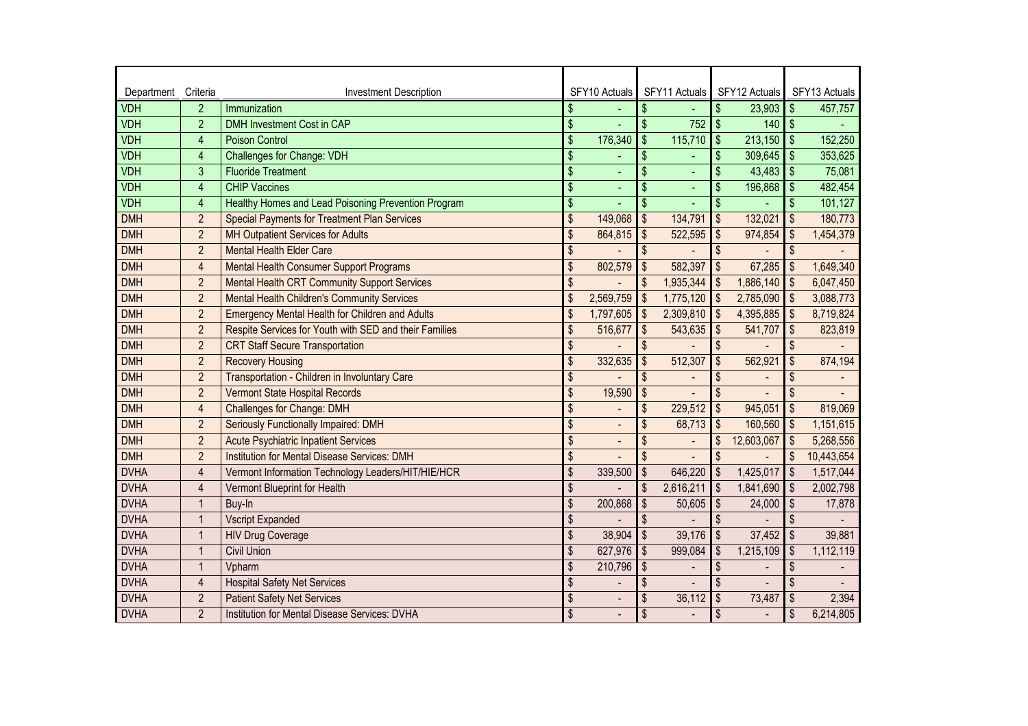| Department  | Criteria       | <b>Investment Description</b>                          |                          | SFY10 Actuals  |                          | SFY11 Actuals | SFY12 Actuals                        |                           | SFY13 Actuals |
|-------------|----------------|--------------------------------------------------------|--------------------------|----------------|--------------------------|---------------|--------------------------------------|---------------------------|---------------|
| <b>VDH</b>  | $\overline{2}$ | Immunization                                           | \$                       |                | \$                       |               | $\mathfrak{s}$<br>23,903             | $\boldsymbol{\mathsf{S}}$ | 457,757       |
| <b>VDH</b>  | $\overline{2}$ | <b>DMH Investment Cost in CAP</b>                      | \$                       |                | $\overline{\mathcal{S}}$ | 752           | $\mathsf{\$}$<br>140                 | $\sqrt[6]{\frac{1}{2}}$   |               |
| <b>VDH</b>  | $\overline{4}$ | <b>Poison Control</b>                                  | \$                       | 176,340        | \$                       | 115,710       | $\mathsf{\$}$<br>213,150             | \$                        | 152,250       |
| <b>VDH</b>  | 4              | <b>Challenges for Change: VDH</b>                      | \$                       |                | \$                       |               | \$<br>309,645                        | \$                        | 353,625       |
| <b>VDH</b>  | 3              | <b>Fluoride Treatment</b>                              | \$                       | ÷,             | \$                       |               | \$<br>43,483                         | $\boldsymbol{\mathsf{S}}$ | 75,081        |
| <b>VDH</b>  | 4              | <b>CHIP Vaccines</b>                                   | $\overline{\$}$          |                | $\overline{\mathbf{S}}$  |               | \$<br>196,868                        | $\sqrt[6]{\frac{1}{2}}$   | 482,454       |
| <b>VDH</b>  | $\overline{4}$ | Healthy Homes and Lead Poisoning Prevention Program    | \$                       |                | \$                       |               | $\mathfrak{s}$                       | \$                        | 101,127       |
| <b>DMH</b>  | $\overline{2}$ | <b>Special Payments for Treatment Plan Services</b>    | \$                       | 149,068        | \$                       | 134,791       | $\mathfrak{s}$<br>132,021            | \$                        | 180,773       |
| <b>DMH</b>  | $\overline{2}$ | <b>MH Outpatient Services for Adults</b>               | \$                       | 864,815        | \$                       | 522,595       | $\mathfrak{s}$<br>974,854            | \$                        | 1,454,379     |
| <b>DMH</b>  | $\overline{2}$ | <b>Mental Health Elder Care</b>                        | \$                       |                | \$                       |               | \$                                   | \$                        |               |
| <b>DMH</b>  | $\overline{4}$ | <b>Mental Health Consumer Support Programs</b>         | \$                       | 802,579        | \$                       | 582,397       | \$<br>67,285                         | \$                        | 1,649,340     |
| <b>DMH</b>  | $\overline{2}$ | <b>Mental Health CRT Community Support Services</b>    | \$                       |                | \$                       | 1,935,344     | $\mathfrak{S}$<br>1,886,140          | \$                        | 6,047,450     |
| <b>DMH</b>  | $\overline{2}$ | <b>Mental Health Children's Community Services</b>     | \$                       | 2,569,759      | $\sqrt{3}$               | 1,775,120     | $\mathsf{\$}$<br>2,785,090           | \$                        | 3,088,773     |
| <b>DMH</b>  | $\overline{2}$ | <b>Emergency Mental Health for Children and Adults</b> | \$                       | 1,797,605      | \$                       | 2,309,810     | $\mathbf{\hat{s}}$<br>4,395,885      | \$                        | 8,719,824     |
| <b>DMH</b>  | $\overline{c}$ | Respite Services for Youth with SED and their Families | \$                       | 516,677        | \$                       | 543,635       | $\sqrt[6]{\frac{1}{2}}$<br>541,707   | \$                        | 823,819       |
| <b>DMH</b>  | $\overline{2}$ | <b>CRT Staff Secure Transportation</b>                 | \$                       |                | \$                       |               | $\mathfrak{s}$                       | \$                        |               |
| <b>DMH</b>  | $\overline{2}$ | <b>Recovery Housing</b>                                | \$                       | 332,635        | \$                       | 512,307       | \$<br>562,921                        | \$                        | 874,194       |
| <b>DMH</b>  | $\overline{2}$ | Transportation - Children in Involuntary Care          | \$                       |                | \$                       |               | \$                                   | $\boldsymbol{\mathsf{S}}$ |               |
| <b>DMH</b>  | $\overline{2}$ | <b>Vermont State Hospital Records</b>                  | \$                       | 19,590         | \$                       |               | \$                                   | \$                        |               |
| <b>DMH</b>  | $\overline{4}$ | <b>Challenges for Change: DMH</b>                      | \$                       |                | \$                       | 229,512       | \$<br>945,051                        | \$                        | 819,069       |
| <b>DMH</b>  | $\overline{2}$ | Seriously Functionally Impaired: DMH                   | \$                       | $\overline{a}$ | \$                       | 68,713        | \$<br>160,560                        | \$                        | 1,151,615     |
| <b>DMH</b>  | $\overline{2}$ | <b>Acute Psychiatric Inpatient Services</b>            | \$                       |                | \$                       |               | \$<br>12,603,067                     | $\boldsymbol{\mathsf{S}}$ | 5,268,556     |
| <b>DMH</b>  | $\overline{2}$ | <b>Institution for Mental Disease Services: DMH</b>    | \$                       |                | \$                       |               | \$                                   | \$                        | 10,443,654    |
| <b>DVHA</b> | $\overline{4}$ | Vermont Information Technology Leaders/HIT/HIE/HCR     | \$                       | 339,500        | \$                       | 646,220       | $\sqrt[6]{\frac{1}{2}}$<br>1,425,017 | \$                        | 1,517,044     |
| <b>DVHA</b> | 4              | Vermont Blueprint for Health                           | \$                       |                | \$                       | 2,616,211     | $\sqrt[6]{\frac{1}{2}}$<br>1,841,690 | \$                        | 2,002,798     |
| <b>DVHA</b> | $\overline{1}$ | Buy-In                                                 | \$                       | 200,868        | \$                       | 50,605        | $\sqrt[6]{\frac{1}{2}}$<br>24,000    | $\sqrt[6]{\frac{1}{2}}$   | 17,878        |
| <b>DVHA</b> | $\overline{1}$ | <b>Vscript Expanded</b>                                | \$                       |                | \$                       |               | $\mathfrak{s}$                       | \$                        |               |
| <b>DVHA</b> | $\overline{1}$ | <b>HIV Drug Coverage</b>                               | \$                       | 38,904         | \$                       | 39,176        | $\mathfrak{s}$<br>37,452             | $\boldsymbol{\mathsf{S}}$ | 39,881        |
| <b>DVHA</b> | $\mathbf 1$    | <b>Civil Union</b>                                     | \$                       | 627,976        | \$                       | 999,084       | \$<br>1,215,109                      | \$                        | 1,112,119     |
| <b>DVHA</b> | $\overline{1}$ | Vpharm                                                 | $\overline{\mathcal{S}}$ | 210,796        | \$                       |               | \$                                   | $\boldsymbol{\mathsf{S}}$ |               |
| <b>DVHA</b> | $\overline{4}$ | <b>Hospital Safety Net Services</b>                    | \$                       |                | \$                       |               | \$                                   | \$                        |               |
| <b>DVHA</b> | $\overline{2}$ | <b>Patient Safety Net Services</b>                     | \$                       | $\overline{a}$ | \$                       | 36,112        | \$<br>73,487                         | \$                        | 2,394         |
| <b>DVHA</b> | $\overline{2}$ | Institution for Mental Disease Services: DVHA          | \$                       |                | \$                       |               | \$                                   | \$                        | 6,214,805     |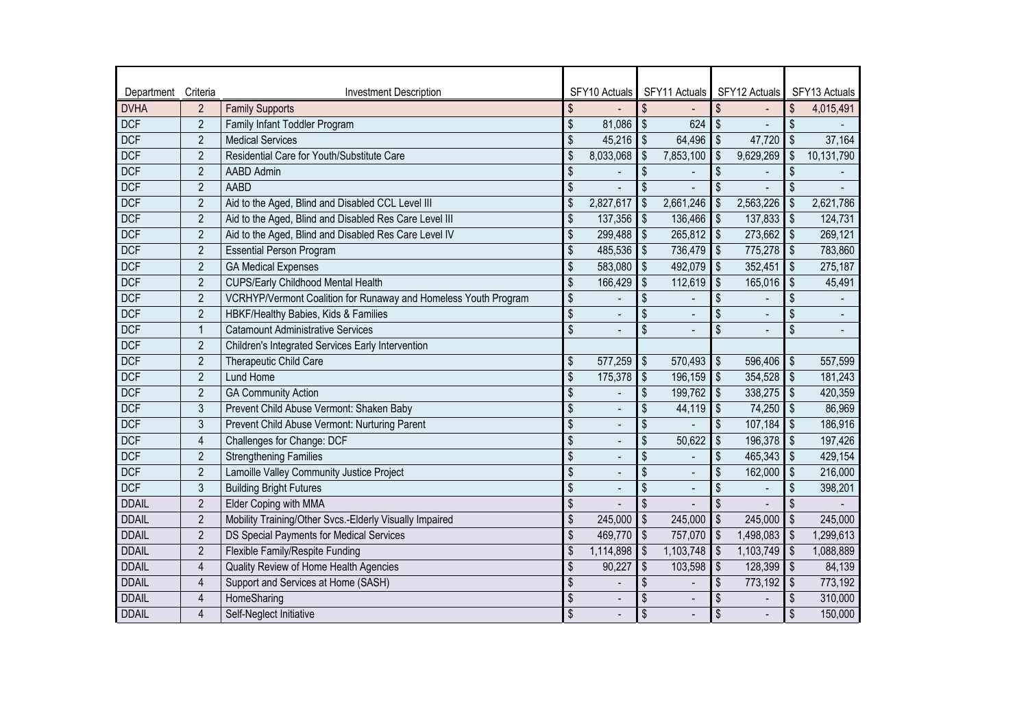| Department   | Criteria       | <b>Investment Description</b>                                   |                          | SFY10 Actuals            |                              | SFY11 Actuals | SFY12 Actuals                          |                | SFY13 Actuals |
|--------------|----------------|-----------------------------------------------------------------|--------------------------|--------------------------|------------------------------|---------------|----------------------------------------|----------------|---------------|
| <b>DVHA</b>  | $\overline{2}$ | <b>Family Supports</b>                                          | \$                       |                          | \$                           |               | $\sqrt[6]{\frac{1}{2}}$                | \$             | 4,015,491     |
| <b>DCF</b>   | $\sqrt{2}$     | Family Infant Toddler Program                                   | \$                       | 81,086                   | $\overline{\mathcal{S}}$     | 624           | $\sqrt[6]{\frac{1}{2}}$                | \$             |               |
| <b>DCF</b>   | $\overline{2}$ | <b>Medical Services</b>                                         | \$                       | 45,216                   | $\sqrt[6]{\frac{1}{2}}$      | 64,496        | $\sqrt[6]{\frac{1}{2}}$<br>47,720      | \$             | 37,164        |
| <b>DCF</b>   | $\sqrt{2}$     | Residential Care for Youth/Substitute Care                      | \$                       | 8,033,068                | \$                           | 7,853,100     | \$<br>9,629,269                        | \$             | 10,131,790    |
| <b>DCF</b>   | $\overline{2}$ | AABD Admin                                                      | \$                       |                          | \$                           |               | \$                                     | \$             |               |
| <b>DCF</b>   | $\overline{2}$ | <b>AABD</b>                                                     | $\overline{\mathbf{S}}$  |                          | \$                           |               | \$                                     | \$             |               |
| <b>DCF</b>   | $\overline{2}$ | Aid to the Aged, Blind and Disabled CCL Level III               | \$                       | 2,827,617                | \$                           | 2,661,246     | $\boldsymbol{\mathsf{S}}$<br>2,563,226 | \$             | 2,621,786     |
| <b>DCF</b>   | $\sqrt{2}$     | Aid to the Aged, Blind and Disabled Res Care Level III          | \$                       | 137,356                  | $\sqrt[6]{\frac{1}{2}}$      | 136,466       | $\sqrt[6]{\frac{1}{2}}$<br>137,833     | \$             | 124,731       |
| <b>DCF</b>   | $\overline{2}$ | Aid to the Aged, Blind and Disabled Res Care Level IV           | \$                       | 299,488                  | $\sqrt[6]{\frac{1}{2}}$      | 265,812       | $\sqrt{2}$<br>273,662                  | \$             | 269,121       |
| <b>DCF</b>   | $\overline{2}$ | <b>Essential Person Program</b>                                 | \$                       | 485,536                  | $\frac{1}{2}$                | 736,479       | $\sqrt[6]{\frac{1}{2}}$<br>775,278     | \$             | 783,860       |
| <b>DCF</b>   | $\overline{2}$ | <b>GA Medical Expenses</b>                                      | \$                       | 583,080                  | $\frac{1}{2}$                | 492,079       | $\sqrt[6]{\frac{1}{2}}$<br>352,451     | \$             | 275,187       |
| <b>DCF</b>   | $\overline{2}$ | <b>CUPS/Early Childhood Mental Health</b>                       | \$                       | 166,429                  | \$                           | 112,619       | $\boldsymbol{\mathsf{S}}$<br>165,016   | \$             | 45,491        |
| <b>DCF</b>   | $\overline{2}$ | VCRHYP/Vermont Coalition for Runaway and Homeless Youth Program | \$                       |                          | \$                           |               | \$                                     | \$             |               |
| <b>DCF</b>   | $\overline{2}$ | HBKF/Healthy Babies, Kids & Families                            | $\overline{\mathbf{S}}$  |                          | \$                           |               | \$                                     |                |               |
| <b>DCF</b>   | $\overline{1}$ | <b>Catamount Administrative Services</b>                        | \$                       |                          | \$                           |               | \$                                     | \$             |               |
| <b>DCF</b>   | $\overline{2}$ | Children's Integrated Services Early Intervention               |                          |                          |                              |               |                                        |                |               |
| <b>DCF</b>   | $\overline{2}$ | Therapeutic Child Care                                          | \$                       | 577,259                  | $\boldsymbol{\hat{\varphi}}$ | 570,493       | \$<br>596,406                          | \$             | 557,599       |
| <b>DCF</b>   | $\overline{2}$ | Lund Home                                                       | $\overline{\$}$          | 175,378                  | $\overline{\mathbf{S}}$      | 196,159       | $\sqrt{2}$<br>354,528                  | $\mathfrak{S}$ | 181,243       |
| <b>DCF</b>   | $\overline{2}$ | <b>GA Community Action</b>                                      | \$                       |                          | \$                           | 199,762       | $\sqrt[6]{\frac{1}{2}}$<br>338,275     | \$             | 420,359       |
| <b>DCF</b>   | 3              | Prevent Child Abuse Vermont: Shaken Baby                        | \$                       |                          | \$                           | 44,119        | $\sqrt[6]{\frac{1}{2}}$<br>74,250      | \$             | 86,969        |
| <b>DCF</b>   | 3              | Prevent Child Abuse Vermont: Nurturing Parent                   | \$                       | $\overline{\phantom{a}}$ | \$                           |               | $\boldsymbol{\mathsf{S}}$<br>107,184   | \$             | 186,916       |
| <b>DCF</b>   | $\overline{4}$ | Challenges for Change: DCF                                      | $\overline{\mathbf{S}}$  |                          | \$                           | 50,622        | $\boldsymbol{\mathsf{S}}$<br>196,378   | $\mathfrak{S}$ | 197,426       |
| <b>DCF</b>   | $\overline{2}$ | <b>Strengthening Families</b>                                   | \$                       | $\overline{\phantom{a}}$ | \$                           |               | \$<br>465,343                          | \$             | 429,154       |
| <b>DCF</b>   | $\overline{2}$ | Lamoille Valley Community Justice Project                       | \$                       | $\overline{\phantom{a}}$ | \$                           | L.            | \$<br>162,000                          | \$             | 216,000       |
| <b>DCF</b>   | $\sqrt{3}$     | <b>Building Bright Futures</b>                                  | \$                       | $\overline{a}$           | \$                           | ÷.            | $\sqrt[6]{\frac{1}{2}}$                | \$             | 398,201       |
| <b>DDAIL</b> | $\overline{2}$ | Elder Coping with MMA                                           | \$                       |                          | \$                           |               | \$                                     | \$             |               |
| <b>DDAIL</b> | $\overline{2}$ | Mobility Training/Other Svcs.-Elderly Visually Impaired         | \$                       | 245,000                  | \$                           | 245,000       | \$<br>245,000                          | \$             | 245,000       |
| <b>DDAIL</b> | $\sqrt{2}$     | DS Special Payments for Medical Services                        | \$                       | 469,770                  | \$                           | 757,070       | $\sqrt[6]{\frac{1}{2}}$<br>1,498,083   | \$             | 1,299,613     |
| <b>DDAIL</b> | $\overline{2}$ | Flexible Family/Respite Funding                                 | \$                       | 1,114,898                | \$                           | 1,103,748     | $\sqrt[6]{\frac{1}{2}}$<br>1,103,749   | \$             | 1,088,889     |
| <b>DDAIL</b> | $\overline{4}$ | Quality Review of Home Health Agencies                          | $\overline{\mathcal{S}}$ | 90,227                   | \$                           | 103,598       | $\sqrt{2}$<br>128,399                  | \$             | 84,139        |
| <b>DDAIL</b> | $\overline{4}$ | Support and Services at Home (SASH)                             | \$                       |                          | \$                           |               | \$<br>773,192                          | \$             | 773,192       |
| <b>DDAIL</b> | $\overline{4}$ | HomeSharing                                                     | \$                       | $\overline{a}$           | \$                           | ÷,            | \$                                     | \$             | 310,000       |
| <b>DDAIL</b> | $\overline{4}$ | Self-Neglect Initiative                                         | \$                       |                          | \$                           |               | $\sqrt[6]{\frac{1}{2}}$                | \$             | 150,000       |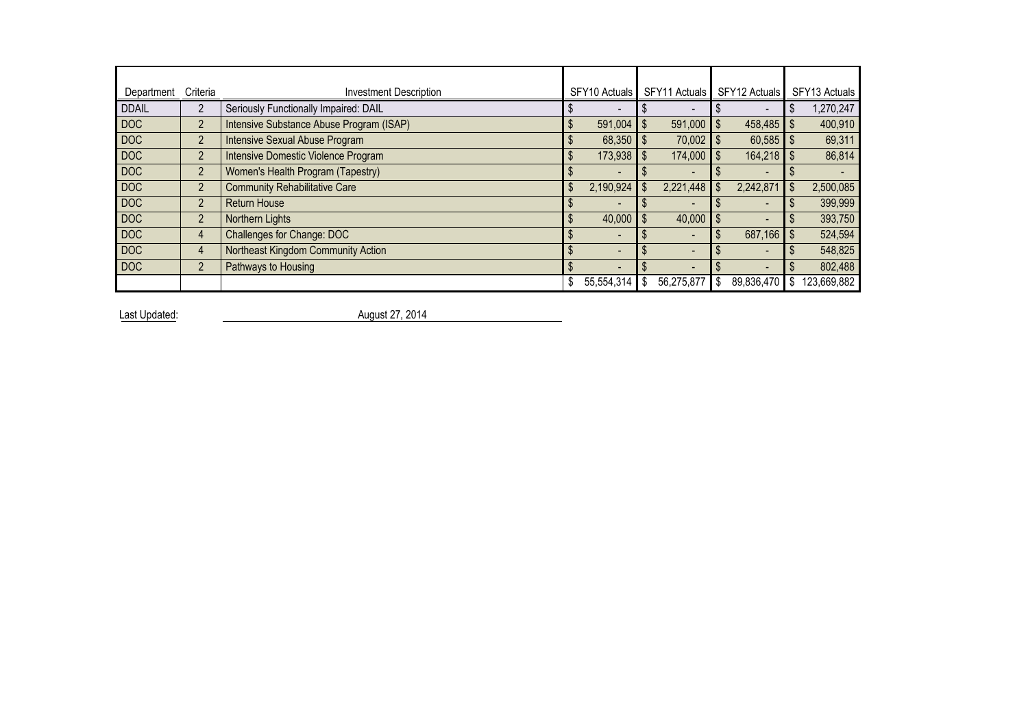| Department   | Criteria       | <b>Investment Description</b>            |    | SFY10 Actuals  | SFY11 Actuals            |    | SFY12 Actuals | SFY13 Actuals |
|--------------|----------------|------------------------------------------|----|----------------|--------------------------|----|---------------|---------------|
| <b>DDAIL</b> | 2              | Seriously Functionally Impaired: DAIL    |    |                |                          |    |               | ,270,247      |
| <b>DOC</b>   | $\overline{2}$ | Intensive Substance Abuse Program (ISAP) | S  | 591,004        | \$<br>591,000            |    | $458,485$ \$  | 400,910       |
| <b>DOC</b>   | $\overline{2}$ | Intensive Sexual Abuse Program           |    | 68,350         | $70,002$ \$              |    | 60,585        | 69,311        |
| <b>DOC</b>   | $\overline{2}$ | Intensive Domestic Violence Program      | S  | 173,938        | \$<br>174,000 \$         |    | 164,218       | 86,814        |
| <b>DOC</b>   | $\overline{2}$ | Women's Health Program (Tapestry)        |    |                |                          |    |               |               |
| <b>DOC</b>   | $\overline{2}$ | <b>Community Rehabilitative Care</b>     |    | 2,190,924      | \$<br>2,221,448          |    | 2,242,871     | 2,500,085     |
| <b>DOC</b>   | $\overline{2}$ | <b>Return House</b>                      |    |                |                          |    |               | 399,999       |
| <b>DOC</b>   | $\overline{2}$ | Northern Lights                          |    | 40,000         | 40,000                   |    |               | 393,750       |
| <b>DOC</b>   | 4              | Challenges for Change: DOC               |    |                |                          |    | 687,166       | 524,594       |
| <b>DOC</b>   | 4              | Northeast Kingdom Community Action       |    | $\overline{a}$ |                          |    |               | 548,825       |
| <b>DOC</b>   | $\overline{2}$ | Pathways to Housing                      |    | $\overline{a}$ | $\overline{\phantom{0}}$ |    | -             | 802,488       |
|              |                |                                          | \$ | 55,554,314     | 56,275,877               | Ŝ. | 89,836,470    | 123,669,882   |

Last Updated: August 27, 2014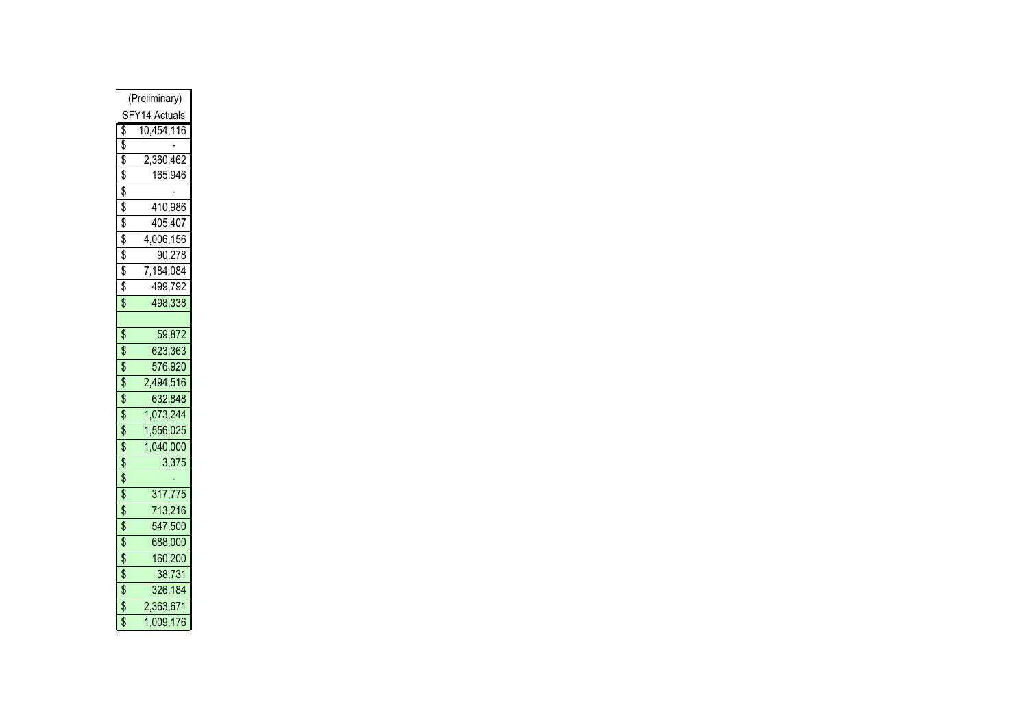| (Preliminary)       |
|---------------------|
| SFY14 Actuals       |
| \$<br>10,454,116    |
| \$                  |
| \$<br>2,360,462     |
| \$<br>165,946       |
| \$                  |
| \$<br>410,986       |
| \$<br>405,407       |
| \$<br>4,006,156     |
| \$<br>90,278        |
| \$<br>7,184,084     |
| \$<br>499,792       |
| \$<br>498,338       |
|                     |
| \$<br>59,872        |
| \$<br>623,363       |
| \$<br>576,920       |
| \$<br>2,494,516     |
| \$<br>632,848       |
| \$<br>1,073,244     |
| \$<br>1<br>,556,025 |
| \$<br>,040,000<br>1 |
| \$<br>3,375         |
| \$                  |
| \$<br>317,775       |
| \$<br>713,216       |
| \$<br>547,500       |
| \$<br>688,000       |
| \$<br>160,200       |
| \$<br>38,731        |
| \$<br>326,184       |
| \$<br>2,363,671     |
| \$<br>,009,176<br>1 |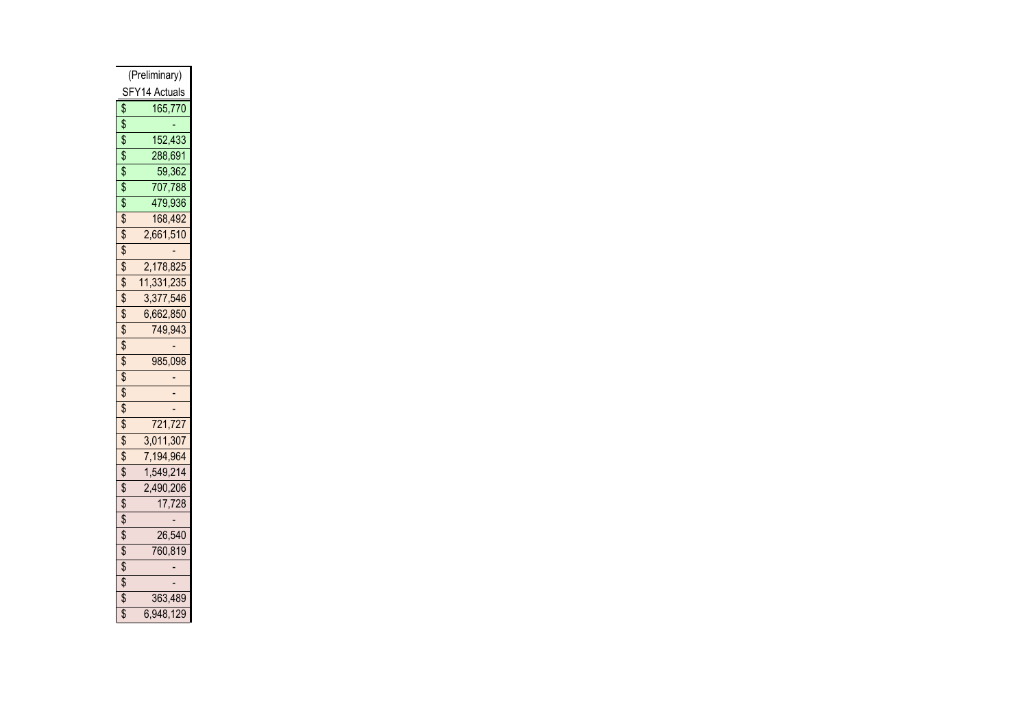| (Preliminary)    |
|------------------|
| SFY14 Actuals    |
| \$<br>165,770    |
| \$               |
| \$<br>152,433    |
| \$<br>288,691    |
| \$<br>59,362     |
| \$<br>707,788    |
| \$<br>479,936    |
| \$<br>168,492    |
| \$<br>2,661,510  |
| \$               |
| \$<br>2,178,825  |
| \$<br>11,331,235 |
| \$<br>3,377,546  |
| \$<br>6,662,850  |
| \$<br>749,943    |
| \$               |
| \$<br>985,098    |
| \$               |
| \$               |
| \$               |
| \$<br>721,727    |
| \$<br>3,011,307  |
| \$<br>7,194,964  |
| \$<br>1,549,214  |
| \$<br>2,490,206  |
| \$<br>17,728     |
| \$               |
| \$<br>26,540     |
| \$<br>760,819    |
| \$               |
| \$               |
| \$<br>363,489    |
| \$<br>6,948,129  |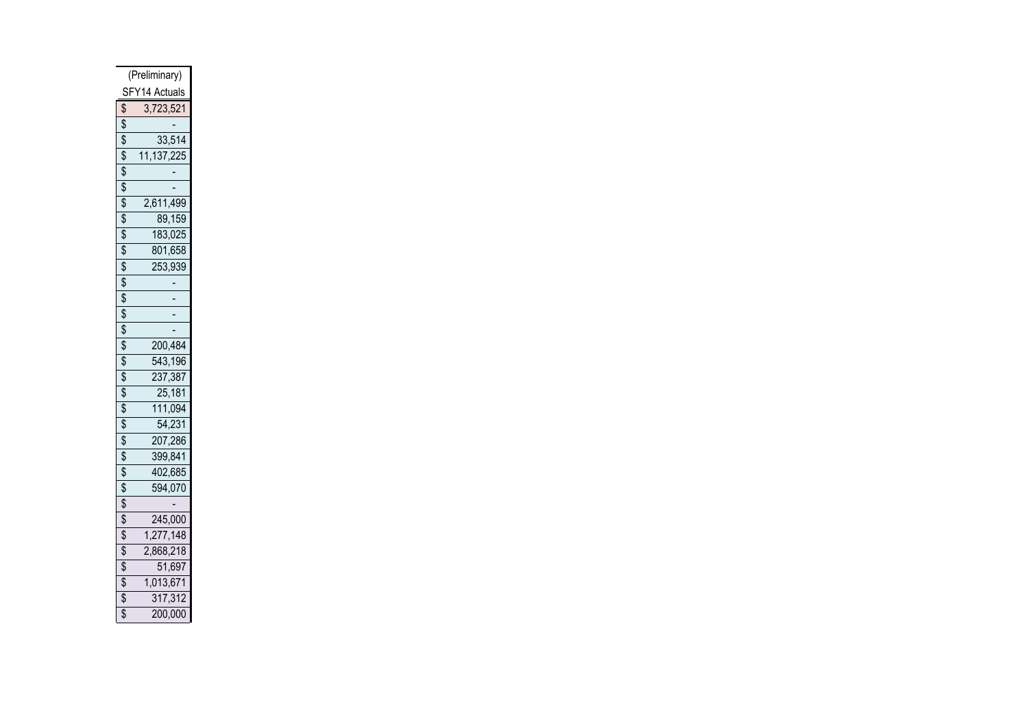| (Preliminary) |              |
|---------------|--------------|
| SFY14 Actuals |              |
| \$            | 3,723,521    |
| \$            |              |
| \$            | 33,514       |
| \$            | 11, 137, 225 |
| \$            |              |
| \$            |              |
| \$            | 2,611,499    |
| \$            | 89,159       |
| \$            | 183,025      |
| \$            | 801,658      |
| \$            | 253,939      |
| \$            |              |
| \$            |              |
| \$            |              |
| \$            |              |
| \$            | 200,484      |
| \$            | 543,196      |
| \$            | 237,387      |
| \$            | 25,181       |
| \$            | 111,094      |
| \$            | 54,231       |
| \$            | 207,286      |
| \$            | 399,841      |
| \$            | 402,685      |
| \$            | 594,070      |
| \$            |              |
| \$            | 245,000      |
| \$            | 1,277,148    |
| \$            | 2,868,218    |
| \$            | 51,697       |
| \$            | 1,013,671    |
| \$            | 317,312      |
| \$            | 200,000      |